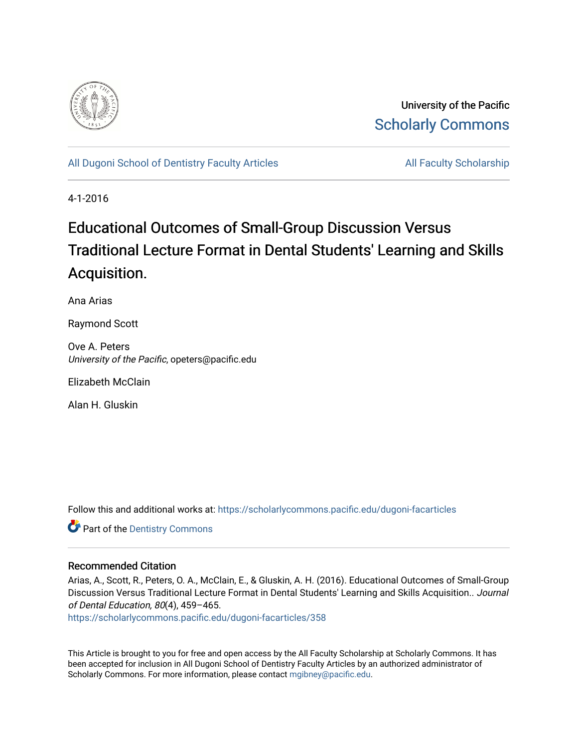

University of the Pacific [Scholarly Commons](https://scholarlycommons.pacific.edu/) 

[All Dugoni School of Dentistry Faculty Articles](https://scholarlycommons.pacific.edu/dugoni-facarticles) All Faculty Scholarship

4-1-2016

# Educational Outcomes of Small-Group Discussion Versus Traditional Lecture Format in Dental Students' Learning and Skills Acquisition.

Ana Arias

Raymond Scott

Ove A. Peters University of the Pacific, opeters@pacific.edu

Elizabeth McClain

Alan H. Gluskin

Follow this and additional works at: [https://scholarlycommons.pacific.edu/dugoni-facarticles](https://scholarlycommons.pacific.edu/dugoni-facarticles?utm_source=scholarlycommons.pacific.edu%2Fdugoni-facarticles%2F358&utm_medium=PDF&utm_campaign=PDFCoverPages) 

**Part of the Dentistry Commons** 

### Recommended Citation

Arias, A., Scott, R., Peters, O. A., McClain, E., & Gluskin, A. H. (2016). Educational Outcomes of Small-Group Discussion Versus Traditional Lecture Format in Dental Students' Learning and Skills Acquisition.. Journal of Dental Education, 80(4), 459–465.

[https://scholarlycommons.pacific.edu/dugoni-facarticles/358](https://scholarlycommons.pacific.edu/dugoni-facarticles/358?utm_source=scholarlycommons.pacific.edu%2Fdugoni-facarticles%2F358&utm_medium=PDF&utm_campaign=PDFCoverPages) 

This Article is brought to you for free and open access by the All Faculty Scholarship at Scholarly Commons. It has been accepted for inclusion in All Dugoni School of Dentistry Faculty Articles by an authorized administrator of Scholarly Commons. For more information, please contact [mgibney@pacific.edu.](mailto:mgibney@pacific.edu)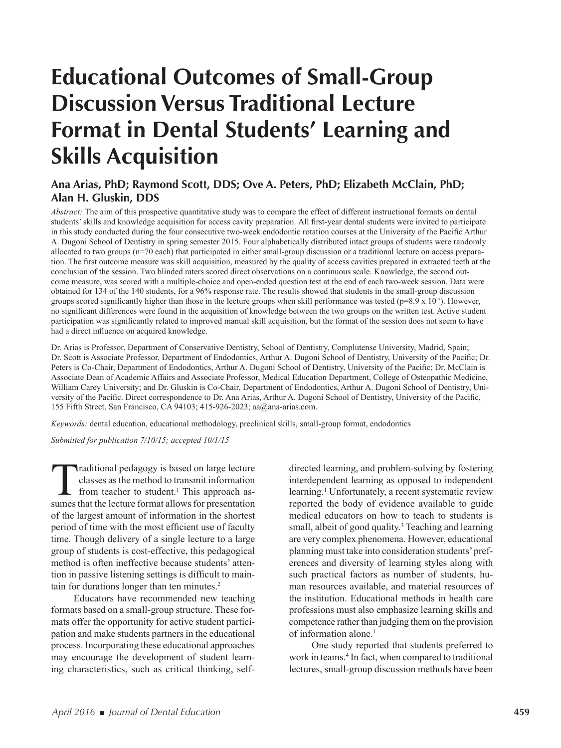# **Educational Outcomes of Small-Group Discussion Versus Traditional Lecture Format in Dental Students' Learning and Skills Acquisition**

### **Ana Arias, PhD; Raymond Scott, DDS; Ove A. Peters, PhD; Elizabeth McClain, PhD; Alan H. Gluskin, DDS**

*Abstract:* The aim of this prospective quantitative study was to compare the effect of different instructional formats on dental students' skills and knowledge acquisition for access cavity preparation. All first-year dental students were invited to participate in this study conducted during the four consecutive two-week endodontic rotation courses at the University of the Pacific Arthur A. Dugoni School of Dentistry in spring semester 2015. Four alphabetically distributed intact groups of students were randomly allocated to two groups (n=70 each) that participated in either small-group discussion or a traditional lecture on access preparation. The first outcome measure was skill acquisition, measured by the quality of access cavities prepared in extracted teeth at the conclusion of the session. Two blinded raters scored direct observations on a continuous scale. Knowledge, the second outcome measure, was scored with a multiple-choice and open-ended question test at the end of each two-week session. Data were obtained for 134 of the 140 students, for a 96% response rate. The results showed that students in the small-group discussion groups scored significantly higher than those in the lecture groups when skill performance was tested ( $p=8.9 \times 10^{-7}$ ). However, no significant differences were found in the acquisition of knowledge between the two groups on the written test. Active student participation was significantly related to improved manual skill acquisition, but the format of the session does not seem to have had a direct influence on acquired knowledge.

Dr. Arias is Professor, Department of Conservative Dentistry, School of Dentistry, Complutense University, Madrid, Spain; Dr. Scott is Associate Professor, Department of Endodontics, Arthur A. Dugoni School of Dentistry, University of the Pacific; Dr. Peters is Co-Chair, Department of Endodontics, Arthur A. Dugoni School of Dentistry, University of the Pacific; Dr. McClain is Associate Dean of Academic Affairs and Associate Professor, Medical Education Department, College of Osteopathic Medicine, William Carey University; and Dr. Gluskin is Co-Chair, Department of Endodontics, Arthur A. Dugoni School of Dentistry, University of the Pacific. Direct correspondence to Dr. Ana Arias, Arthur A. Dugoni School of Dentistry, University of the Pacific, 155 Fifth Street, San Francisco, CA 94103; 415-926-2023; aa@ana-arias.com.

*Keywords:* dental education, educational methodology, preclinical skills, small-group format, endodontics

*Submitted for publication 7/10/15; accepted 10/1/15*

Traditional pedagogy is based on large lecture classes as the method to transmit information from teacher to student.<sup>1</sup> This approach assumes that the lecture format allows for presentation of the largest amount of information in the shortest period of time with the most efficient use of faculty time. Though delivery of a single lecture to a large group of students is cost-effective, this pedagogical method is often ineffective because students' attention in passive listening settings is difficult to maintain for durations longer than ten minutes.<sup>2</sup>

Educators have recommended new teaching formats based on a small-group structure. These formats offer the opportunity for active student participation and make students partners in the educational process. Incorporating these educational approaches may encourage the development of student learning characteristics, such as critical thinking, self-

directed learning, and problem-solving by fostering interdependent learning as opposed to independent learning.<sup>1</sup> Unfortunately, a recent systematic review reported the body of evidence available to guide medical educators on how to teach to students is small, albeit of good quality.<sup>3</sup> Teaching and learning are very complex phenomena. However, educational planning must take into consideration students' preferences and diversity of learning styles along with such practical factors as number of students, human resources available, and material resources of the institution. Educational methods in health care professions must also emphasize learning skills and competence rather than judging them on the provision of information alone.<sup>1</sup>

One study reported that students preferred to work in teams.<sup>4</sup> In fact, when compared to traditional lectures, small-group discussion methods have been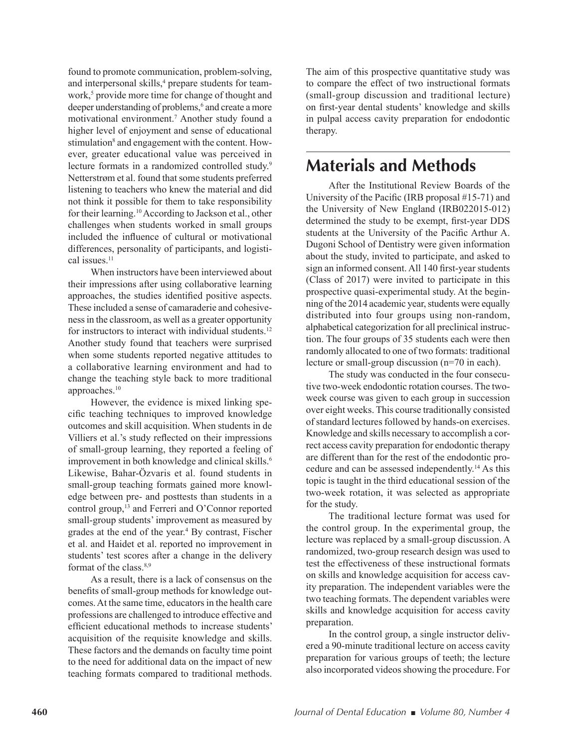found to promote communication, problem-solving, and interpersonal skills,<sup>4</sup> prepare students for teamwork,<sup>5</sup> provide more time for change of thought and deeper understanding of problems,<sup>6</sup> and create a more motivational environment.7 Another study found a higher level of enjoyment and sense of educational stimulation<sup>8</sup> and engagement with the content. However, greater educational value was perceived in lecture formats in a randomized controlled study.<sup>9</sup> Netterstrøm et al. found that some students preferred listening to teachers who knew the material and did not think it possible for them to take responsibility for their learning.10 According to Jackson et al., other challenges when students worked in small groups included the influence of cultural or motivational differences, personality of participants, and logistical issues<sup>11</sup>

When instructors have been interviewed about their impressions after using collaborative learning approaches, the studies identified positive aspects. These included a sense of camaraderie and cohesiveness in the classroom, as well as a greater opportunity for instructors to interact with individual students.<sup>12</sup> Another study found that teachers were surprised when some students reported negative attitudes to a collaborative learning environment and had to change the teaching style back to more traditional approaches.10

However, the evidence is mixed linking specific teaching techniques to improved knowledge outcomes and skill acquisition. When students in de Villiers et al.'s study reflected on their impressions of small-group learning, they reported a feeling of improvement in both knowledge and clinical skills.<sup>6</sup> Likewise, Bahar-Özvaris et al. found students in small-group teaching formats gained more knowledge between pre- and posttests than students in a control group,<sup>13</sup> and Ferreri and O'Connor reported small-group students' improvement as measured by grades at the end of the year.4 By contrast, Fischer et al. and Haidet et al. reported no improvement in students' test scores after a change in the delivery format of the class.<sup>8,9</sup>

As a result, there is a lack of consensus on the benefits of small-group methods for knowledge outcomes. At the same time, educators in the health care professions are challenged to introduce effective and efficient educational methods to increase students' acquisition of the requisite knowledge and skills. These factors and the demands on faculty time point to the need for additional data on the impact of new teaching formats compared to traditional methods.

The aim of this prospective quantitative study was to compare the effect of two instructional formats (small-group discussion and traditional lecture) on first-year dental students' knowledge and skills in pulpal access cavity preparation for endodontic therapy.

# **Materials and Methods**

After the Institutional Review Boards of the University of the Pacific (IRB proposal #15-71) and the University of New England (IRB022015-012) determined the study to be exempt, first-year DDS students at the University of the Pacific Arthur A. Dugoni School of Dentistry were given information about the study, invited to participate, and asked to sign an informed consent. All 140 first-year students (Class of 2017) were invited to participate in this prospective quasi-experimental study. At the beginning of the 2014 academic year, students were equally distributed into four groups using non-random, alphabetical categorization for all preclinical instruction. The four groups of 35 students each were then randomly allocated to one of two formats: traditional lecture or small-group discussion (n=70 in each).

The study was conducted in the four consecutive two-week endodontic rotation courses. The twoweek course was given to each group in succession over eight weeks. This course traditionally consisted of standard lectures followed by hands-on exercises. Knowledge and skills necessary to accomplish a correct access cavity preparation for endodontic therapy are different than for the rest of the endodontic procedure and can be assessed independently.14 As this topic is taught in the third educational session of the two-week rotation, it was selected as appropriate for the study.

The traditional lecture format was used for the control group. In the experimental group, the lecture was replaced by a small-group discussion. A randomized, two-group research design was used to test the effectiveness of these instructional formats on skills and knowledge acquisition for access cavity preparation. The independent variables were the two teaching formats. The dependent variables were skills and knowledge acquisition for access cavity preparation.

In the control group, a single instructor delivered a 90-minute traditional lecture on access cavity preparation for various groups of teeth; the lecture also incorporated videos showing the procedure. For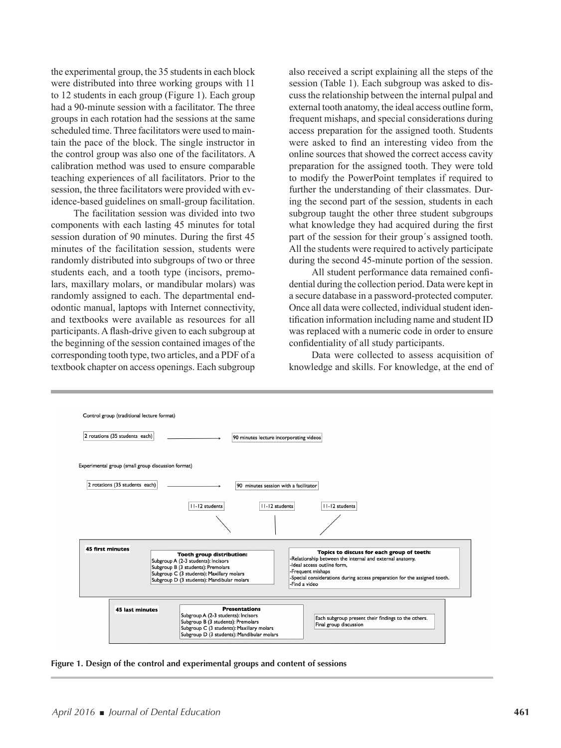the experimental group, the 35 students in each block were distributed into three working groups with 11 to 12 students in each group (Figure 1). Each group had a 90-minute session with a facilitator. The three groups in each rotation had the sessions at the same scheduled time. Three facilitators were used to maintain the pace of the block. The single instructor in the control group was also one of the facilitators. A calibration method was used to ensure comparable teaching experiences of all facilitators. Prior to the session, the three facilitators were provided with evidence-based guidelines on small-group facilitation.

The facilitation session was divided into two components with each lasting 45 minutes for total session duration of 90 minutes. During the first 45 minutes of the facilitation session, students were randomly distributed into subgroups of two or three students each, and a tooth type (incisors, premolars, maxillary molars, or mandibular molars) was randomly assigned to each. The departmental endodontic manual, laptops with Internet connectivity, and textbooks were available as resources for all participants. A flash-drive given to each subgroup at the beginning of the session contained images of the corresponding tooth type, two articles, and a PDF of a textbook chapter on access openings. Each subgroup

also received a script explaining all the steps of the session (Table 1). Each subgroup was asked to discuss the relationship between the internal pulpal and external tooth anatomy, the ideal access outline form, frequent mishaps, and special considerations during access preparation for the assigned tooth. Students were asked to find an interesting video from the online sources that showed the correct access cavity preparation for the assigned tooth. They were told to modify the PowerPoint templates if required to further the understanding of their classmates. During the second part of the session, students in each subgroup taught the other three student subgroups what knowledge they had acquired during the first part of the session for their group´s assigned tooth. All the students were required to actively participate during the second 45-minute portion of the session.

All student performance data remained confidential during the collection period. Data were kept in a secure database in a password-protected computer. Once all data were collected, individual student identification information including name and student ID was replaced with a numeric code in order to ensure confidentiality of all study participants.

Data were collected to assess acquisition of knowledge and skills. For knowledge, at the end of



**Figure 1. Design of the control and experimental groups and content of sessions**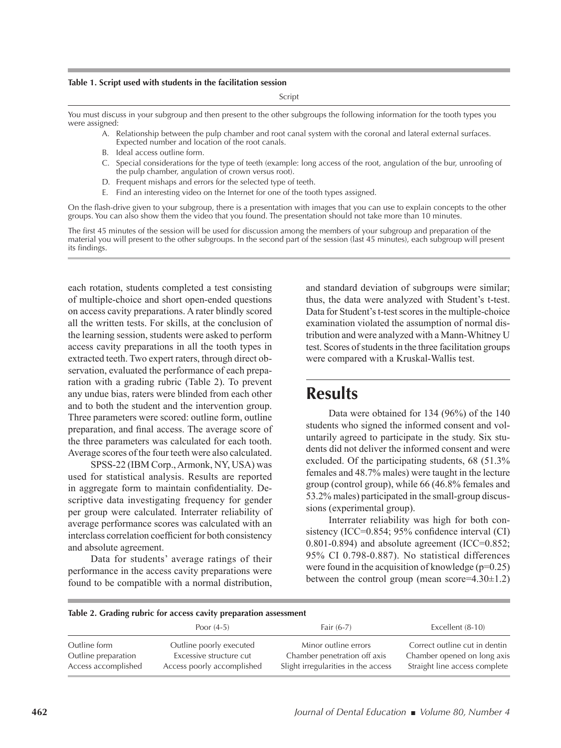#### **Table 1. Script used with students in the facilitation session**

Script

You must discuss in your subgroup and then present to the other subgroups the following information for the tooth types you were assigned:

- A. Relationship between the pulp chamber and root canal system with the coronal and lateral external surfaces. Expected number and location of the root canals.
- B. Ideal access outline form.
- C. Special considerations for the type of teeth (example: long access of the root, angulation of the bur, unroofing of the pulp chamber, angulation of crown versus root).
- D. Frequent mishaps and errors for the selected type of teeth.
- E. Find an interesting video on the Internet for one of the tooth types assigned.

On the flash-drive given to your subgroup, there is a presentation with images that you can use to explain concepts to the other groups. You can also show them the video that you found. The presentation should not take more than 10 minutes.

The first 45 minutes of the session will be used for discussion among the members of your subgroup and preparation of the material you will present to the other subgroups. In the second part of the session (last 45 minutes), each subgroup will present its findings.

each rotation, students completed a test consisting of multiple-choice and short open-ended questions on access cavity preparations. A rater blindly scored all the written tests. For skills, at the conclusion of the learning session, students were asked to perform access cavity preparations in all the tooth types in extracted teeth. Two expert raters, through direct observation, evaluated the performance of each preparation with a grading rubric (Table 2). To prevent any undue bias, raters were blinded from each other and to both the student and the intervention group. Three parameters were scored: outline form, outline preparation, and final access. The average score of the three parameters was calculated for each tooth. Average scores of the four teeth were also calculated.

SPSS-22 (IBM Corp., Armonk, NY, USA) was used for statistical analysis. Results are reported in aggregate form to maintain confidentiality. Descriptive data investigating frequency for gender per group were calculated. Interrater reliability of average performance scores was calculated with an interclass correlation coefficient for both consistency and absolute agreement.

Data for students' average ratings of their performance in the access cavity preparations were found to be compatible with a normal distribution, and standard deviation of subgroups were similar; thus, the data were analyzed with Student's t-test. Data for Student's t-test scores in the multiple-choice examination violated the assumption of normal distribution and were analyzed with a Mann-Whitney U test. Scores of students in the three facilitation groups were compared with a Kruskal-Wallis test.

### **Results**

Data were obtained for 134 (96%) of the 140 students who signed the informed consent and voluntarily agreed to participate in the study. Six students did not deliver the informed consent and were excluded. Of the participating students, 68 (51.3% females and 48.7% males) were taught in the lecture group (control group), while 66 (46.8% females and 53.2% males) participated in the small-group discussions (experimental group).

Interrater reliability was high for both consistency (ICC=0.854; 95% confidence interval (CI)  $0.801 - 0.894$ ) and absolute agreement (ICC= $0.852$ ; 95% CI 0.798-0.887). No statistical differences were found in the acquisition of knowledge  $(p=0.25)$ between the control group (mean score= $4.30\pm1.2$ )

|  |  |  |  |  |  |  | Table 2. Grading rubric for access cavity preparation assessment |
|--|--|--|--|--|--|--|------------------------------------------------------------------|
|--|--|--|--|--|--|--|------------------------------------------------------------------|

|                     | Poor $(4-5)$               | Fair $(6-7)$                        | Excellent $(8-10)$            |
|---------------------|----------------------------|-------------------------------------|-------------------------------|
| Outline form        | Outline poorly executed    | Minor outline errors                | Correct outline cut in dentin |
| Outline preparation | Excessive structure cut    | Chamber penetration off axis        | Chamber opened on long axis   |
| Access accomplished | Access poorly accomplished | Slight irregularities in the access | Straight line access complete |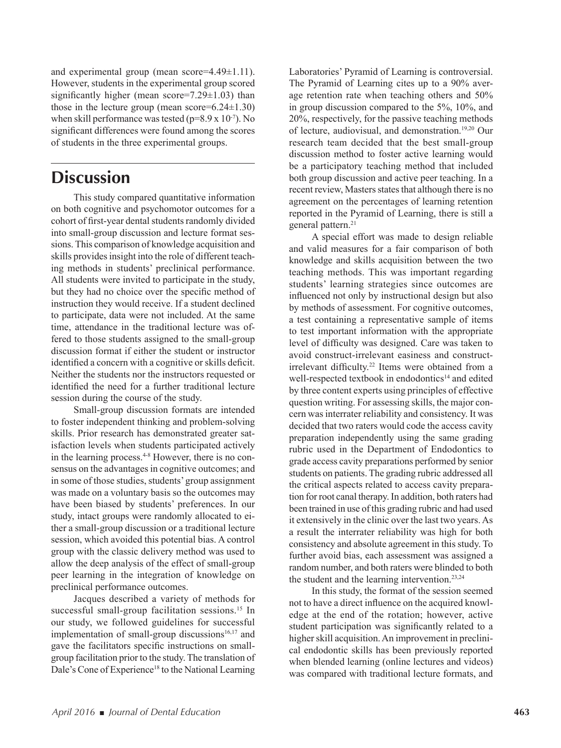and experimental group (mean score=4.49±1.11). However, students in the experimental group scored significantly higher (mean score= $7.29 \pm 1.03$ ) than those in the lecture group (mean score= $6.24 \pm 1.30$ ) when skill performance was tested ( $p=8.9 \times 10^{-7}$ ). No significant differences were found among the scores of students in the three experimental groups.

# **Discussion**

This study compared quantitative information on both cognitive and psychomotor outcomes for a cohort of first-year dental students randomly divided into small-group discussion and lecture format sessions. This comparison of knowledge acquisition and skills provides insight into the role of different teaching methods in students' preclinical performance. All students were invited to participate in the study, but they had no choice over the specific method of instruction they would receive. If a student declined to participate, data were not included. At the same time, attendance in the traditional lecture was offered to those students assigned to the small-group discussion format if either the student or instructor identified a concern with a cognitive or skills deficit. Neither the students nor the instructors requested or identified the need for a further traditional lecture session during the course of the study.

Small-group discussion formats are intended to foster independent thinking and problem-solving skills. Prior research has demonstrated greater satisfaction levels when students participated actively in the learning process.<sup>4-8</sup> However, there is no consensus on the advantages in cognitive outcomes; and in some of those studies, students' group assignment was made on a voluntary basis so the outcomes may have been biased by students' preferences. In our study, intact groups were randomly allocated to either a small-group discussion or a traditional lecture session, which avoided this potential bias. A control group with the classic delivery method was used to allow the deep analysis of the effect of small-group peer learning in the integration of knowledge on preclinical performance outcomes.

Jacques described a variety of methods for successful small-group facilitation sessions.<sup>15</sup> In our study, we followed guidelines for successful implementation of small-group discussions $16,17$  and gave the facilitators specific instructions on smallgroup facilitation prior to the study. The translation of Dale's Cone of Experience<sup>18</sup> to the National Learning

Laboratories' Pyramid of Learning is controversial. The Pyramid of Learning cites up to a 90% average retention rate when teaching others and 50% in group discussion compared to the 5%, 10%, and 20%, respectively, for the passive teaching methods of lecture, audiovisual, and demonstration.19,20 Our research team decided that the best small-group discussion method to foster active learning would be a participatory teaching method that included both group discussion and active peer teaching. In a recent review, Masters states that although there is no agreement on the percentages of learning retention reported in the Pyramid of Learning, there is still a general pattern.<sup>21</sup>

A special effort was made to design reliable and valid measures for a fair comparison of both knowledge and skills acquisition between the two teaching methods. This was important regarding students' learning strategies since outcomes are influenced not only by instructional design but also by methods of assessment. For cognitive outcomes, a test containing a representative sample of items to test important information with the appropriate level of difficulty was designed. Care was taken to avoid construct-irrelevant easiness and constructirrelevant difficulty.<sup>22</sup> Items were obtained from a well-respected textbook in endodontics<sup>14</sup> and edited by three content experts using principles of effective question writing. For assessing skills, the major concern was interrater reliability and consistency. It was decided that two raters would code the access cavity preparation independently using the same grading rubric used in the Department of Endodontics to grade access cavity preparations performed by senior students on patients. The grading rubric addressed all the critical aspects related to access cavity preparation for root canal therapy. In addition, both raters had been trained in use of this grading rubric and had used it extensively in the clinic over the last two years. As a result the interrater reliability was high for both consistency and absolute agreement in this study. To further avoid bias, each assessment was assigned a random number, and both raters were blinded to both the student and the learning intervention.<sup>23,24</sup>

In this study, the format of the session seemed not to have a direct influence on the acquired knowledge at the end of the rotation; however, active student participation was significantly related to a higher skill acquisition. An improvement in preclinical endodontic skills has been previously reported when blended learning (online lectures and videos) was compared with traditional lecture formats, and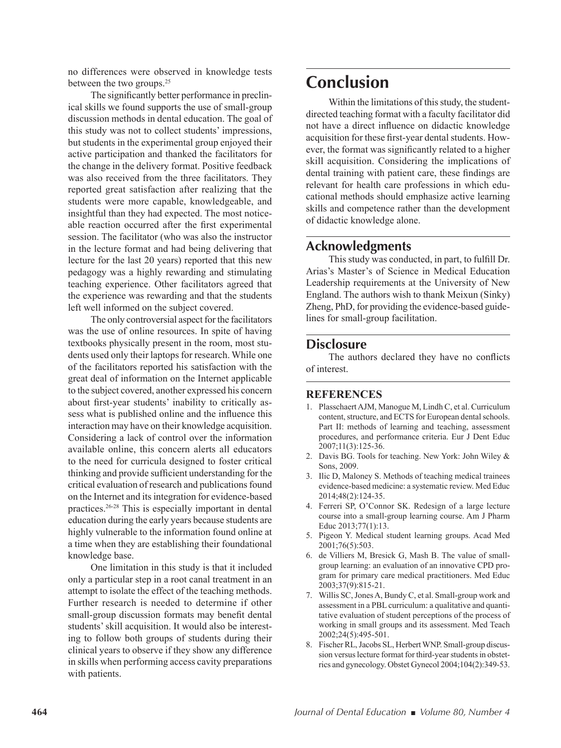no differences were observed in knowledge tests between the two groups.<sup>25</sup>

The significantly better performance in preclinical skills we found supports the use of small-group discussion methods in dental education. The goal of this study was not to collect students' impressions, but students in the experimental group enjoyed their active participation and thanked the facilitators for the change in the delivery format. Positive feedback was also received from the three facilitators. They reported great satisfaction after realizing that the students were more capable, knowledgeable, and insightful than they had expected. The most noticeable reaction occurred after the first experimental session. The facilitator (who was also the instructor in the lecture format and had being delivering that lecture for the last 20 years) reported that this new pedagogy was a highly rewarding and stimulating teaching experience. Other facilitators agreed that the experience was rewarding and that the students left well informed on the subject covered.

The only controversial aspect for the facilitators was the use of online resources. In spite of having textbooks physically present in the room, most students used only their laptops for research. While one of the facilitators reported his satisfaction with the great deal of information on the Internet applicable to the subject covered, another expressed his concern about first-year students' inability to critically assess what is published online and the influence this interaction may have on their knowledge acquisition. Considering a lack of control over the information available online, this concern alerts all educators to the need for curricula designed to foster critical thinking and provide sufficient understanding for the critical evaluation of research and publications found on the Internet and its integration for evidence-based practices.26-28 This is especially important in dental education during the early years because students are highly vulnerable to the information found online at a time when they are establishing their foundational knowledge base.

One limitation in this study is that it included only a particular step in a root canal treatment in an attempt to isolate the effect of the teaching methods. Further research is needed to determine if other small-group discussion formats may benefit dental students' skill acquisition. It would also be interesting to follow both groups of students during their clinical years to observe if they show any difference in skills when performing access cavity preparations with patients.

# **Conclusion**

Within the limitations of this study, the studentdirected teaching format with a faculty facilitator did not have a direct influence on didactic knowledge acquisition for these first-year dental students. However, the format was significantly related to a higher skill acquisition. Considering the implications of dental training with patient care, these findings are relevant for health care professions in which educational methods should emphasize active learning skills and competence rather than the development of didactic knowledge alone.

### **Acknowledgments**

This study was conducted, in part, to fulfill Dr. Arias's Master's of Science in Medical Education Leadership requirements at the University of New England. The authors wish to thank Meixun (Sinky) Zheng, PhD, for providing the evidence-based guidelines for small-group facilitation.

### **Disclosure**

The authors declared they have no conflicts of interest.

### **REFERENCES**

- 1. Plasschaert AJM, Manogue M, Lindh C, et al. Curriculum content, structure, and ECTS for European dental schools. Part II: methods of learning and teaching, assessment procedures, and performance criteria. Eur J Dent Educ 2007;11(3):125-36.
- 2. Davis BG. Tools for teaching. New York: John Wiley & Sons, 2009.
- 3. Ilic D, Maloney S. Methods of teaching medical trainees evidence-based medicine: a systematic review. Med Educ 2014;48(2):124-35.
- 4. Ferreri SP, O'Connor SK. Redesign of a large lecture course into a small-group learning course. Am J Pharm Educ 2013;77(1):13.
- 5. Pigeon Y. Medical student learning groups. Acad Med 2001;76(5):503.
- 6. de Villiers M, Bresick G, Mash B. The value of smallgroup learning: an evaluation of an innovative CPD program for primary care medical practitioners. Med Educ 2003;37(9):815-21.
- 7. Willis SC, Jones A, Bundy C, et al. Small-group work and assessment in a PBL curriculum: a qualitative and quantitative evaluation of student perceptions of the process of working in small groups and its assessment. Med Teach 2002;24(5):495-501.
- 8. Fischer RL, Jacobs SL, Herbert WNP. Small-group discussion versus lecture format for third-year students in obstetrics and gynecology. Obstet Gynecol 2004;104(2):349-53.